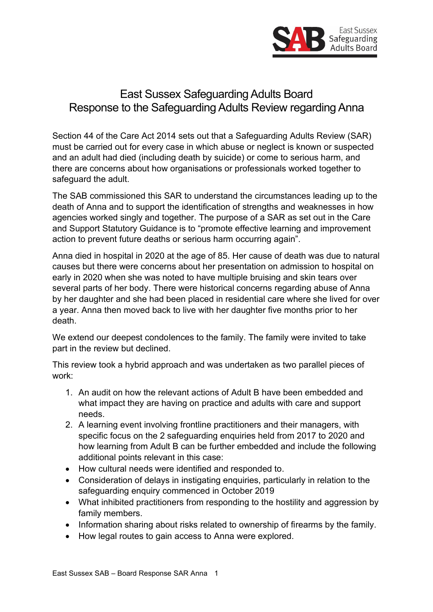

# East Sussex Safeguarding Adults Board Response to the Safeguarding Adults Review regarding Anna

Section 44 of the Care Act 2014 sets out that a Safeguarding Adults Review (SAR) must be carried out for every case in which abuse or neglect is known or suspected and an adult had died (including death by suicide) or come to serious harm, and there are concerns about how organisations or professionals worked together to safeguard the adult.

The SAB commissioned this SAR to understand the circumstances leading up to the death of Anna and to support the identification of strengths and weaknesses in how agencies worked singly and together. The purpose of a SAR as set out in the Care and Support Statutory Guidance is to "promote effective learning and improvement action to prevent future deaths or serious harm occurring again".

Anna died in hospital in 2020 at the age of 85. Her cause of death was due to natural causes but there were concerns about her presentation on admission to hospital on early in 2020 when she was noted to have multiple bruising and skin tears over several parts of her body. There were historical concerns regarding abuse of Anna by her daughter and she had been placed in residential care where she lived for over a year. Anna then moved back to live with her daughter five months prior to her death.

We extend our deepest condolences to the family. The family were invited to take part in the review but declined.

This review took a hybrid approach and was undertaken as two parallel pieces of work:

- 1. An audit on how the relevant actions of Adult B have been embedded and what impact they are having on practice and adults with care and support needs.
- 2. A learning event involving frontline practitioners and their managers, with specific focus on the 2 safeguarding enquiries held from 2017 to 2020 and how learning from Adult B can be further embedded and include the following additional points relevant in this case:
- How cultural needs were identified and responded to.
- Consideration of delays in instigating enquiries, particularly in relation to the safeguarding enquiry commenced in October 2019
- What inhibited practitioners from responding to the hostility and aggression by family members.
- Information sharing about risks related to ownership of firearms by the family.
- How legal routes to gain access to Anna were explored.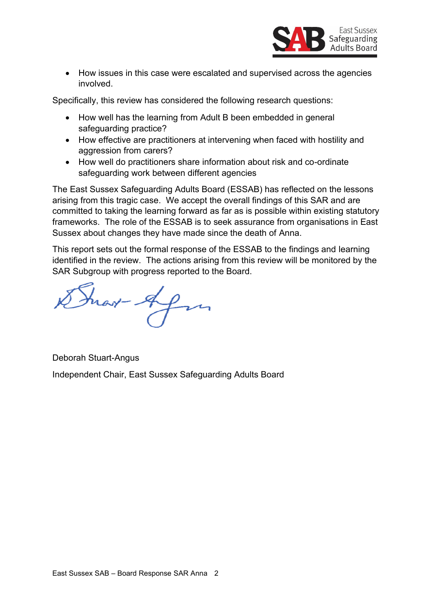

• How issues in this case were escalated and supervised across the agencies involved.

Specifically, this review has considered the following research questions:

- How well has the learning from Adult B been embedded in general safeguarding practice?
- How effective are practitioners at intervening when faced with hostility and aggression from carers?
- How well do practitioners share information about risk and co-ordinate safeguarding work between different agencies

The East Sussex Safeguarding Adults Board (ESSAB) has reflected on the lessons arising from this tragic case. We accept the overall findings of this SAR and are committed to taking the learning forward as far as is possible within existing statutory frameworks. The role of the ESSAB is to seek assurance from organisations in East Sussex about changes they have made since the death of Anna.

This report sets out the formal response of the ESSAB to the findings and learning identified in the review. The actions arising from this review will be monitored by the SAR Subgroup with progress reported to the Board.

Frar-Afri

Deborah Stuart-Angus Independent Chair, East Sussex Safeguarding Adults Board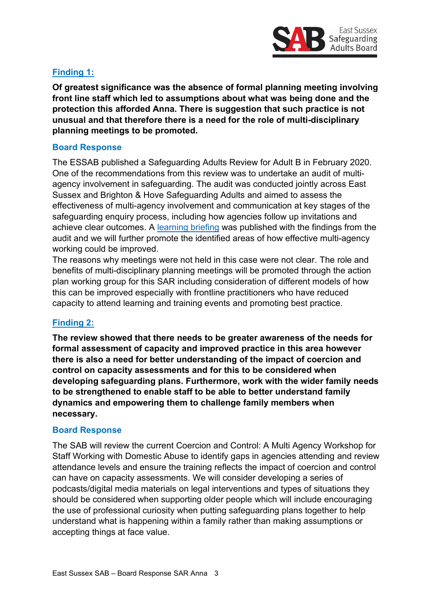

## **Finding 1:**

**Of greatest significance was the absence of formal planning meeting involving front line staff which led to assumptions about what was being done and the protection this afforded Anna. There is suggestion that such practice is not unusual and that therefore there is a need for the role of multi-disciplinary planning meetings to be promoted.**

#### **Board Response**

The ESSAB published a Safeguarding Adults Review for Adult B in February 2020. One of the recommendations from this review was to undertake an audit of multiagency involvement in safeguarding. The audit was conducted jointly across East Sussex and Brighton & Hove Safeguarding Adults and aimed to assess the effectiveness of multi-agency involvement and communication at key stages of the safeguarding enquiry process, including how agencies follow up invitations and achieve clear outcomes. A [learning briefing](https://www.eastsussexsab.org.uk/wp-content/uploads/2020/11/Multi-agency-Involvement-in-Safeguarding-Learning-Briefing-final.pdf) was published with the findings from the audit and we will further promote the identified areas of how effective multi-agency working could be improved.

The reasons why meetings were not held in this case were not clear. The role and benefits of multi-disciplinary planning meetings will be promoted through the action plan working group for this SAR including consideration of different models of how this can be improved especially with frontline practitioners who have reduced capacity to attend learning and training events and promoting best practice.

### **Finding 2:**

**The review showed that there needs to be greater awareness of the needs for formal assessment of capacity and improved practice in this area however there is also a need for better understanding of the impact of coercion and control on capacity assessments and for this to be considered when developing safeguarding plans. Furthermore, work with the wider family needs to be strengthened to enable staff to be able to better understand family dynamics and empowering them to challenge family members when necessary.**

#### **Board Response**

The SAB will review the current Coercion and Control: A Multi Agency Workshop for Staff Working with Domestic Abuse to identify gaps in agencies attending and review attendance levels and ensure the training reflects the impact of coercion and control can have on capacity assessments. We will consider developing a series of podcasts/digital media materials on legal interventions and types of situations they should be considered when supporting older people which will include encouraging the use of professional curiosity when putting safeguarding plans together to help understand what is happening within a family rather than making assumptions or accepting things at face value.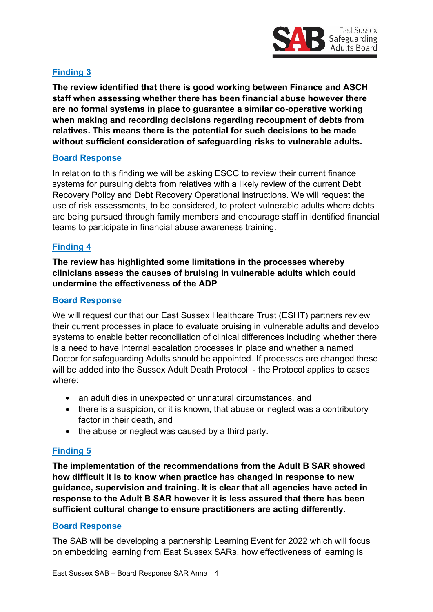

## **Finding 3**

**The review identified that there is good working between Finance and ASCH staff when assessing whether there has been financial abuse however there are no formal systems in place to guarantee a similar co-operative working when making and recording decisions regarding recoupment of debts from relatives. This means there is the potential for such decisions to be made without sufficient consideration of safeguarding risks to vulnerable adults.**

#### **Board Response**

In relation to this finding we will be asking ESCC to review their current finance systems for pursuing debts from relatives with a likely review of the current Debt Recovery Policy and Debt Recovery Operational instructions. We will request the use of risk assessments, to be considered, to protect vulnerable adults where debts are being pursued through family members and encourage staff in identified financial teams to participate in financial abuse awareness training.

#### **Finding 4**

**The review has highlighted some limitations in the processes whereby clinicians assess the causes of bruising in vulnerable adults which could undermine the effectiveness of the ADP**

#### **Board Response**

We will request our that our East Sussex Healthcare Trust (ESHT) partners review their current processes in place to evaluate bruising in vulnerable adults and develop systems to enable better reconciliation of clinical differences including whether there is a need to have internal escalation processes in place and whether a named Doctor for safeguarding Adults should be appointed. If processes are changed these will be added into the Sussex Adult Death Protocol - the Protocol applies to cases where:

- an adult dies in unexpected or unnatural circumstances, and
- there is a suspicion, or it is known, that abuse or neglect was a contributory factor in their death, and
- the abuse or neglect was caused by a third party.

#### **Finding 5**

**The implementation of the recommendations from the Adult B SAR showed how difficult it is to know when practice has changed in response to new guidance, supervision and training. It is clear that all agencies have acted in response to the Adult B SAR however it is less assured that there has been sufficient cultural change to ensure practitioners are acting differently.**

#### **Board Response**

The SAB will be developing a partnership Learning Event for 2022 which will focus on embedding learning from East Sussex SARs, how effectiveness of learning is